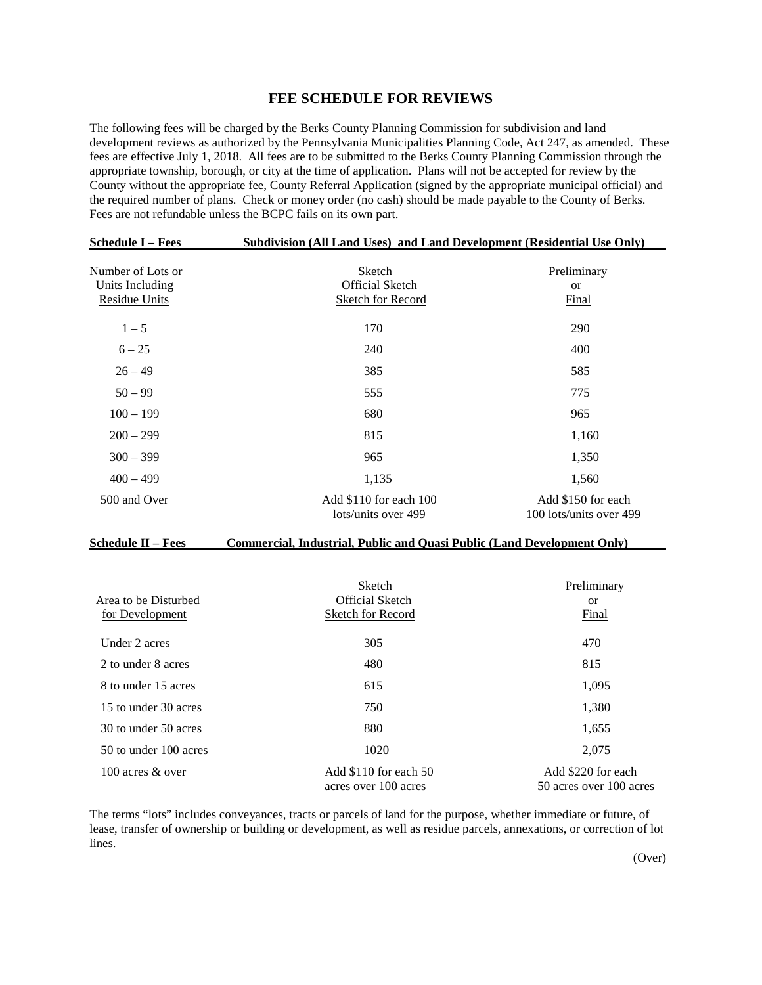## **FEE SCHEDULE FOR REVIEWS**

The following fees will be charged by the Berks County Planning Commission for subdivision and land development reviews as authorized by the Pennsylvania Municipalities Planning Code, Act 247, as amended. These fees are effective July 1, 2018. All fees are to be submitted to the Berks County Planning Commission through the appropriate township, borough, or city at the time of application. Plans will not be accepted for review by the County without the appropriate fee, County Referral Application (signed by the appropriate municipal official) and the required number of plans. Check or money order (no cash) should be made payable to the County of Berks. Fees are not refundable unless the BCPC fails on its own part.

| <b>Schedule I – Fees</b>                                     | Subdivision (All Land Uses) and Land Development (Residential Use Only) |                                               |  |  |
|--------------------------------------------------------------|-------------------------------------------------------------------------|-----------------------------------------------|--|--|
| Number of Lots or<br>Units Including<br><b>Residue Units</b> | Sketch<br><b>Official Sketch</b><br><b>Sketch for Record</b>            | Preliminary<br><sub>or</sub><br><b>Final</b>  |  |  |
| $1 - 5$                                                      | 170                                                                     | 290                                           |  |  |
| $6 - 25$                                                     | 240                                                                     | 400                                           |  |  |
| $26 - 49$                                                    | 385                                                                     | 585                                           |  |  |
| $50 - 99$                                                    | 555                                                                     | 775                                           |  |  |
| $100 - 199$                                                  | 680                                                                     | 965                                           |  |  |
| $200 - 299$                                                  | 815                                                                     | 1,160                                         |  |  |
| $300 - 399$                                                  | 965                                                                     | 1,350                                         |  |  |
| $400 - 499$                                                  | 1,135                                                                   | 1,560                                         |  |  |
| 500 and Over                                                 | Add \$110 for each 100<br>lots/units over 499                           | Add \$150 for each<br>100 lots/units over 499 |  |  |

## **Schedule II – Fees Commercial, Industrial, Public and Quasi Public (Land Development Only)**

| Area to be Disturbed<br>for Development | <b>Sketch</b><br><b>Official Sketch</b><br><b>Sketch for Record</b> | Preliminary<br><sub>or</sub><br>Final         |
|-----------------------------------------|---------------------------------------------------------------------|-----------------------------------------------|
| Under 2 acres                           | 305                                                                 | 470                                           |
| 2 to under 8 acres                      | 480                                                                 | 815                                           |
| 8 to under 15 acres                     | 615                                                                 | 1,095                                         |
| 15 to under 30 acres                    | 750                                                                 | 1,380                                         |
| 30 to under 50 acres                    | 880                                                                 | 1,655                                         |
| 50 to under 100 acres                   | 1020                                                                | 2.075                                         |
| 100 acres & over                        | Add \$110 for each 50<br>acres over 100 acres                       | Add \$220 for each<br>50 acres over 100 acres |

The terms "lots" includes conveyances, tracts or parcels of land for the purpose, whether immediate or future, of lease, transfer of ownership or building or development, as well as residue parcels, annexations, or correction of lot lines.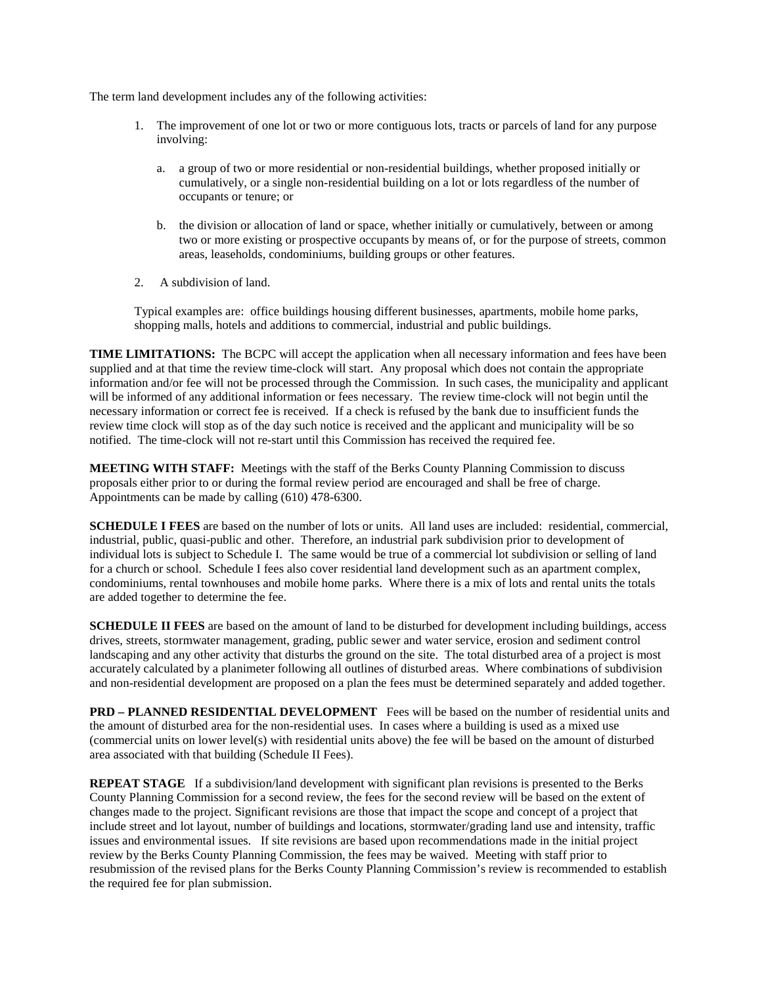The term land development includes any of the following activities:

- 1. The improvement of one lot or two or more contiguous lots, tracts or parcels of land for any purpose involving:
	- a. a group of two or more residential or non-residential buildings, whether proposed initially or cumulatively, or a single non-residential building on a lot or lots regardless of the number of occupants or tenure; or
	- b. the division or allocation of land or space, whether initially or cumulatively, between or among two or more existing or prospective occupants by means of, or for the purpose of streets, common areas, leaseholds, condominiums, building groups or other features.
- 2. A subdivision of land.

Typical examples are: office buildings housing different businesses, apartments, mobile home parks, shopping malls, hotels and additions to commercial, industrial and public buildings.

**TIME LIMITATIONS:** The BCPC will accept the application when all necessary information and fees have been supplied and at that time the review time-clock will start. Any proposal which does not contain the appropriate information and/or fee will not be processed through the Commission. In such cases, the municipality and applicant will be informed of any additional information or fees necessary. The review time-clock will not begin until the necessary information or correct fee is received. If a check is refused by the bank due to insufficient funds the review time clock will stop as of the day such notice is received and the applicant and municipality will be so notified. The time-clock will not re-start until this Commission has received the required fee.

**MEETING WITH STAFF:** Meetings with the staff of the Berks County Planning Commission to discuss proposals either prior to or during the formal review period are encouraged and shall be free of charge. Appointments can be made by calling (610) 478-6300.

**SCHEDULE I FEES** are based on the number of lots or units. All land uses are included: residential, commercial, industrial, public, quasi-public and other. Therefore, an industrial park subdivision prior to development of individual lots is subject to Schedule I. The same would be true of a commercial lot subdivision or selling of land for a church or school. Schedule I fees also cover residential land development such as an apartment complex, condominiums, rental townhouses and mobile home parks. Where there is a mix of lots and rental units the totals are added together to determine the fee.

**SCHEDULE II FEES** are based on the amount of land to be disturbed for development including buildings, access drives, streets, stormwater management, grading, public sewer and water service, erosion and sediment control landscaping and any other activity that disturbs the ground on the site. The total disturbed area of a project is most accurately calculated by a planimeter following all outlines of disturbed areas. Where combinations of subdivision and non-residential development are proposed on a plan the fees must be determined separately and added together.

**PRD – PLANNED RESIDENTIAL DEVELOPMENT** Fees will be based on the number of residential units and the amount of disturbed area for the non-residential uses. In cases where a building is used as a mixed use (commercial units on lower level(s) with residential units above) the fee will be based on the amount of disturbed area associated with that building (Schedule II Fees).

**REPEAT STAGE** If a subdivision/land development with significant plan revisions is presented to the Berks County Planning Commission for a second review, the fees for the second review will be based on the extent of changes made to the project. Significant revisions are those that impact the scope and concept of a project that include street and lot layout, number of buildings and locations, stormwater/grading land use and intensity, traffic issues and environmental issues. If site revisions are based upon recommendations made in the initial project review by the Berks County Planning Commission, the fees may be waived. Meeting with staff prior to resubmission of the revised plans for the Berks County Planning Commission's review is recommended to establish the required fee for plan submission.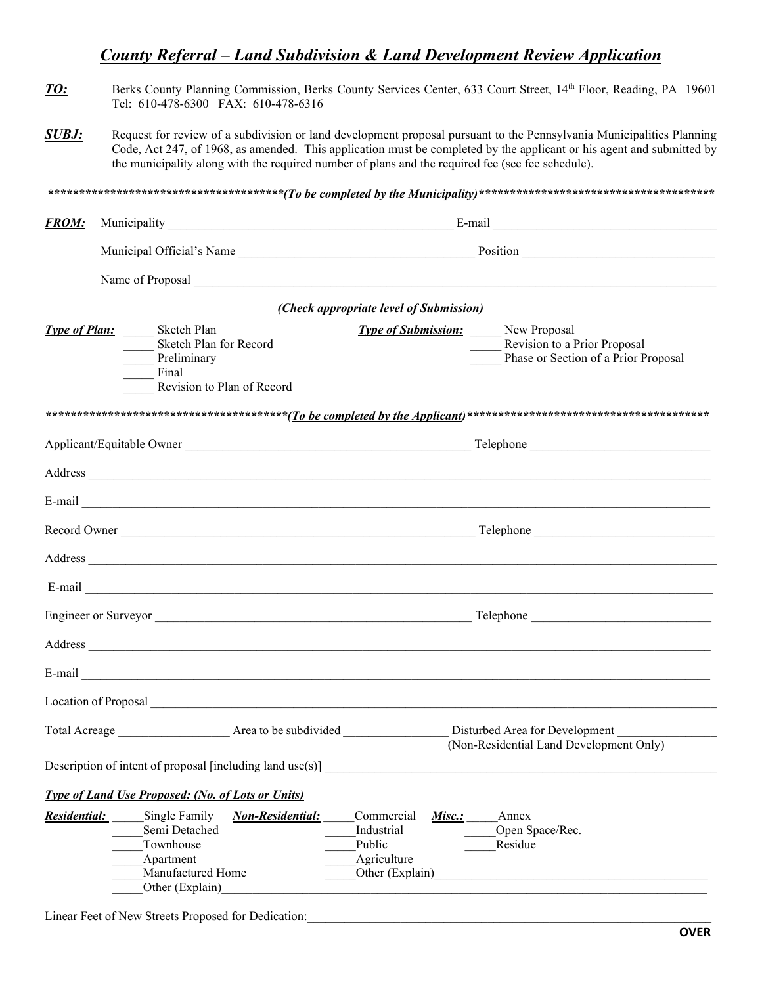## *County Referral – Land Subdivision & Land Development Review Application*

- *TO:* Berks County Planning Commission, Berks County Services Center, 633 Court Street, 14th Floor, Reading, PA 19601 Tel: 610-478-6300 FAX: 610-478-6316
- **SUBJ:** Request for review of a subdivision or land development proposal pursuant to the Pennsylvania Municipalities Planning Code, Act 247, of 1968, as amended. This application must be completed by the applicant or his agent and submitted by the municipality along with the required number of plans and the required fee (see fee schedule).

| <b>FROM:</b>        |                                                                                                                                                |                         |                                                                                |                                                                                                                 |  |
|---------------------|------------------------------------------------------------------------------------------------------------------------------------------------|-------------------------|--------------------------------------------------------------------------------|-----------------------------------------------------------------------------------------------------------------|--|
|                     |                                                                                                                                                |                         |                                                                                |                                                                                                                 |  |
|                     |                                                                                                                                                |                         |                                                                                |                                                                                                                 |  |
|                     |                                                                                                                                                |                         | (Check appropriate level of Submission)                                        |                                                                                                                 |  |
|                     | <b>Type of Plan:</b> Sketch Plan<br>Sketch Plan for Record<br>Preliminary<br>Final<br>$\mathcal{L}^{\text{max}}$<br>Revision to Plan of Record |                         |                                                                                | <b>Type of Submission:</b> New Proposal<br>Revision to a Prior Proposal<br>Phase or Section of a Prior Proposal |  |
|                     |                                                                                                                                                |                         |                                                                                |                                                                                                                 |  |
|                     |                                                                                                                                                |                         |                                                                                |                                                                                                                 |  |
|                     |                                                                                                                                                |                         |                                                                                |                                                                                                                 |  |
|                     |                                                                                                                                                |                         |                                                                                |                                                                                                                 |  |
|                     |                                                                                                                                                |                         |                                                                                |                                                                                                                 |  |
|                     |                                                                                                                                                |                         |                                                                                |                                                                                                                 |  |
|                     |                                                                                                                                                |                         |                                                                                |                                                                                                                 |  |
|                     |                                                                                                                                                |                         |                                                                                |                                                                                                                 |  |
|                     |                                                                                                                                                |                         |                                                                                |                                                                                                                 |  |
|                     |                                                                                                                                                |                         |                                                                                |                                                                                                                 |  |
|                     |                                                                                                                                                |                         |                                                                                |                                                                                                                 |  |
|                     | Location of Proposal New York Channel Contract of Proposal                                                                                     |                         |                                                                                |                                                                                                                 |  |
|                     | Description of intent of proposal [including land use(s)]                                                                                      |                         |                                                                                |                                                                                                                 |  |
|                     | <b>Type of Land Use Proposed: (No. of Lots or Units)</b>                                                                                       |                         |                                                                                |                                                                                                                 |  |
| <b>Residential:</b> | Single Family<br>Semi Detached<br>Townhouse<br>Apartment<br>Manufactured Home<br>Other (Explain)                                               | <b>Non-Residential:</b> | Commercial<br>Misc.:<br>Industrial<br>Public<br>Agriculture<br>Other (Explain) | Annex<br>Open Space/Rec.<br>Residue                                                                             |  |

Linear Feet of New Streets Proposed for Dedication: